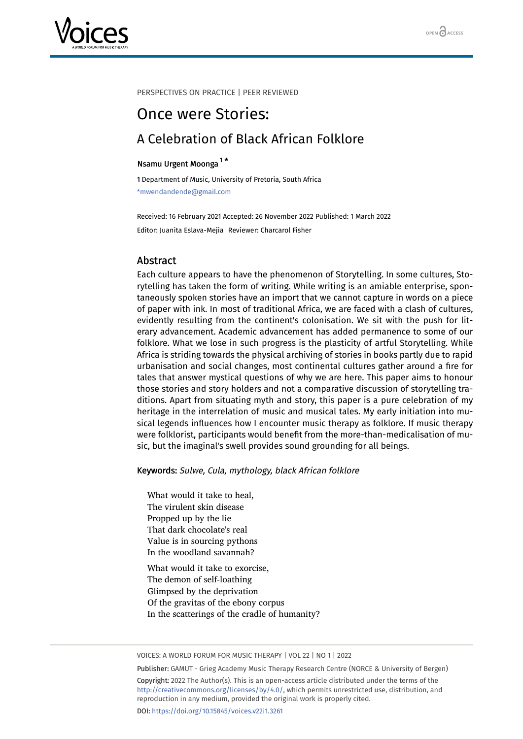



PERSPECTIVES ON PRACTICE | PEER REVIEWED

# Once were Stories: A Celebration of Black African Folklore

## Nsamu Urgent Moonga<sup>[1](#page-0-0)\*</sup>

<span id="page-0-0"></span>1 Department of Music, University of Pretoria, South Africa \*mwendandende@gmail.com

Received: 16 February 2021 Accepted: 26 November 2022 Published: 1 March 2022 Editor: Juanita Eslava-Mejia Reviewer: Charcarol Fisher

#### Abstract

Each culture appears to have the phenomenon of Storytelling. In some cultures, Storytelling has taken the form of writing. While writing is an amiable enterprise, spontaneously spoken stories have an import that we cannot capture in words on a piece of paper with ink. In most of traditional Africa, we are faced with a clash of cultures, evidently resulting from the continent's colonisation. We sit with the push for literary advancement. Academic advancement has added permanence to some of our folklore. What we lose in such progress is the plasticity of artful Storytelling. While Africa is striding towards the physical archiving of stories in books partly due to rapid urbanisation and social changes, most continental cultures gather around a fire for tales that answer mystical questions of why we are here. This paper aims to honour those stories and story holders and not a comparative discussion of storytelling traditions. Apart from situating myth and story, this paper is a pure celebration of my heritage in the interrelation of music and musical tales. My early initiation into musical legends influences how I encounter music therapy as folklore. If music therapy were folklorist, participants would benefit from the more-than-medicalisation of music, but the imaginal's swell provides sound grounding for all beings.

Keywords: Sulwe, Cula, mythology, black African folklore

What would it take to heal, The virulent skin disease Propped up by the lie That dark chocolate's real Value is in sourcing pythons In the woodland savannah?

What would it take to exorcise, The demon of self-loathing Glimpsed by the deprivation Of the gravitas of the ebony corpus In the scatterings of the cradle of humanity?

#### VOICES: A WORLD FORUM FOR MUSIC THERAPY | VOL 22 | NO 1 | 2022

Publisher: GAMUT - Grieg Academy Music Therapy Research Centre (NORCE & University of Bergen) Copyright: 2022 The Author(s). This is an open-access article distributed under the terms of the <http://creativecommons.org/licenses/by/4.0/>, which permits unrestricted use, distribution, and reproduction in any medium, provided the original work is properly cited. DOI: <https://doi.org/10.15845/voices.v22i1.3261>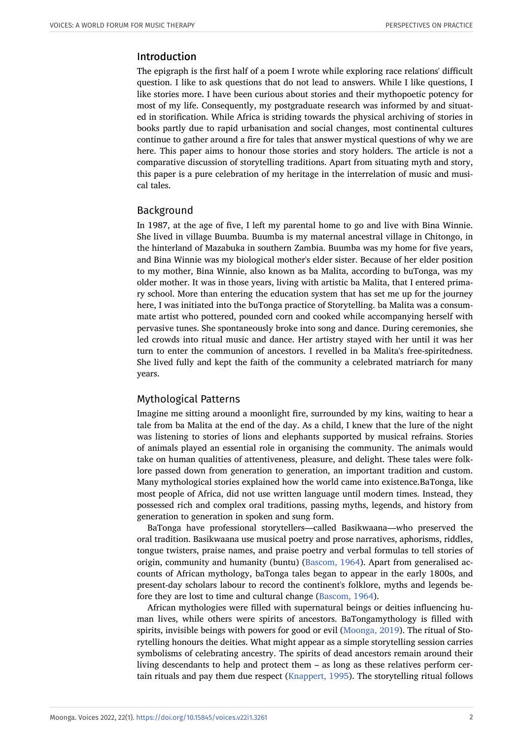## Introduction

The epigraph is the first half of a poem I wrote while exploring race relations' difficult question. I like to ask questions that do not lead to answers. While I like questions, I like stories more. I have been curious about stories and their mythopoetic potency for most of my life. Consequently, my postgraduate research was informed by and situated in storification. While Africa is striding towards the physical archiving of stories in books partly due to rapid urbanisation and social changes, most continental cultures continue to gather around a fire for tales that answer mystical questions of why we are here. This paper aims to honour those stories and story holders. The article is not a comparative discussion of storytelling traditions. Apart from situating myth and story, this paper is a pure celebration of my heritage in the interrelation of music and musical tales.

## Background

In 1987, at the age of five, I left my parental home to go and live with Bina Winnie. She lived in village Buumba. Buumba is my maternal ancestral village in Chitongo, in the hinterland of Mazabuka in southern Zambia. Buumba was my home for five years, and Bina Winnie was my biological mother's elder sister. Because of her elder position to my mother, Bina Winnie, also known as ba Malita, according to buTonga, was my older mother. It was in those years, living with artistic ba Malita, that I entered primary school. More than entering the education system that has set me up for the journey here, I was initiated into the buTonga practice of Storytelling. ba Malita was a consummate artist who pottered, pounded corn and cooked while accompanying herself with pervasive tunes. She spontaneously broke into song and dance. During ceremonies, she led crowds into ritual music and dance. Her artistry stayed with her until it was her turn to enter the communion of ancestors. I revelled in ba Malita's free-spiritedness. She lived fully and kept the faith of the community a celebrated matriarch for many years.

## Mythological Patterns

Imagine me sitting around a moonlight fire, surrounded by my kins, waiting to hear a tale from ba Malita at the end of the day. As a child, I knew that the lure of the night was listening to stories of lions and elephants supported by musical refrains. Stories of animals played an essential role in organising the community. The animals would take on human qualities of attentiveness, pleasure, and delight. These tales were folklore passed down from generation to generation, an important tradition and custom. Many mythological stories explained how the world came into existence.BaTonga, like most people of Africa, did not use written language until modern times. Instead, they possessed rich and complex oral traditions, passing myths, legends, and history from generation to generation in spoken and sung form.

BaTonga have professional storytellers—called Basikwaana—who preserved the oral tradition. Basikwaana use musical poetry and prose narratives, aphorisms, riddles, tongue twisters, praise names, and praise poetry and verbal formulas to tell stories of origin, community and humanity (buntu) ([Bascom, 1964\)](#page-4-0). Apart from generalised accounts of African mythology, baTonga tales began to appear in the early 1800s, and present-day scholars labour to record the continent's folklore, myths and legends before they are lost to time and cultural change [\(Bascom, 1964](#page-4-0)).

African mythologies were filled with supernatural beings or deities influencing human lives, while others were spirits of ancestors. BaTongamythology is filled with spirits, invisible beings with powers for good or evil ([Moonga, 2019\)](#page-5-0). The ritual of Storytelling honours the deities. What might appear as a simple storytelling session carries symbolisms of celebrating ancestry. The spirits of dead ancestors remain around their living descendants to help and protect them – as long as these relatives perform certain rituals and pay them due respect [\(Knappert, 1995](#page-5-1)). The storytelling ritual follows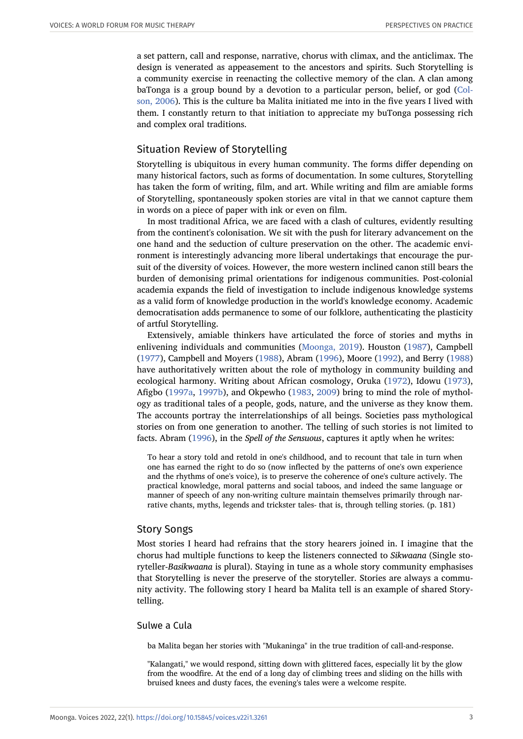a set pattern, call and response, narrative, chorus with climax, and the anticlimax. The design is venerated as appeasement to the ancestors and spirits. Such Storytelling is a community exercise in reenacting the collective memory of the clan. A clan among baTonga is a group bound by a devotion to a particular person, belief, or god ([Col](#page-4-1)[son, 2006](#page-4-1)). This is the culture ba Malita initiated me into in the five years I lived with them. I constantly return to that initiation to appreciate my buTonga possessing rich and complex oral traditions.

## Situation Review of Storytelling

Storytelling is ubiquitous in every human community. The forms differ depending on many historical factors, such as forms of documentation. In some cultures, Storytelling has taken the form of writing, film, and art. While writing and film are amiable forms of Storytelling, spontaneously spoken stories are vital in that we cannot capture them in words on a piece of paper with ink or even on film.

In most traditional Africa, we are faced with a clash of cultures, evidently resulting from the continent's colonisation. We sit with the push for literary advancement on the one hand and the seduction of culture preservation on the other. The academic environment is interestingly advancing more liberal undertakings that encourage the pursuit of the diversity of voices. However, the more western inclined canon still bears the burden of demonising primal orientations for indigenous communities. Post-colonial academia expands the field of investigation to include indigenous knowledge systems as a valid form of knowledge production in the world's knowledge economy. Academic democratisation adds permanence to some of our folklore, authenticating the plasticity of artful Storytelling.

Extensively, amiable thinkers have articulated the force of stories and myths in enlivening individuals and communities ([Moonga, 2019\)](#page-5-0). Houston ([1987](#page-5-2)), Campbell (1977), Campbell and Moyers ([1988](#page-4-2)), Abram [\(1996\)](#page-4-3), Moore [\(1992\)](#page-5-3), and Berry [\(1988\)](#page-4-4) have authoritatively written about the role of mythology in community building and ecological harmony. Writing about African cosmology, Oruka [\(1972\)](#page-5-4), Idowu ([1973](#page-5-5)), Afigbo [\(1997a,](#page-4-5) [1997b\)](#page-4-6), and Okpewho [\(1983,](#page-5-6) [2009](#page-5-7)) bring to mind the role of mythology as traditional tales of a people, gods, nature, and the universe as they know them. The accounts portray the interrelationships of all beings. Societies pass mythological stories on from one generation to another. The telling of such stories is not limited to facts. Abram [\(1996](#page-4-3)), in the *Spell of the Sensuous*, captures it aptly when he writes:

To hear a story told and retold in one's childhood, and to recount that tale in turn when one has earned the right to do so (now inflected by the patterns of one's own experience and the rhythms of one's voice), is to preserve the coherence of one's culture actively. The practical knowledge, moral patterns and social taboos, and indeed the same language or manner of speech of any non-writing culture maintain themselves primarily through narrative chants, myths, legends and trickster tales- that is, through telling stories. (p. 181)

#### Story Songs

Most stories I heard had refrains that the story hearers joined in. I imagine that the chorus had multiple functions to keep the listeners connected to *Sikwaana* (Single storyteller-*Basikwaana* is plural). Staying in tune as a whole story community emphasises that Storytelling is never the preserve of the storyteller. Stories are always a community activity. The following story I heard ba Malita tell is an example of shared Storytelling.

#### Sulwe a Cula

ba Malita began her stories with "Mukaninga" in the true tradition of call-and-response.

"Kalangati," we would respond, sitting down with glittered faces, especially lit by the glow from the woodfire. At the end of a long day of climbing trees and sliding on the hills with bruised knees and dusty faces, the evening's tales were a welcome respite.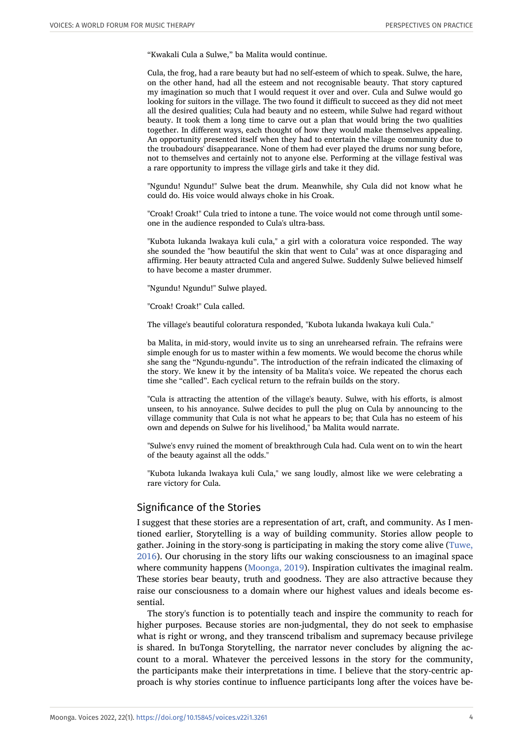"Kwakali Cula a Sulwe," ba Malita would continue.

Cula, the frog, had a rare beauty but had no self-esteem of which to speak. Sulwe, the hare, on the other hand, had all the esteem and not recognisable beauty. That story captured my imagination so much that I would request it over and over. Cula and Sulwe would go looking for suitors in the village. The two found it difficult to succeed as they did not meet all the desired qualities; Cula had beauty and no esteem, while Sulwe had regard without beauty. It took them a long time to carve out a plan that would bring the two qualities together. In different ways, each thought of how they would make themselves appealing. An opportunity presented itself when they had to entertain the village community due to the troubadours' disappearance. None of them had ever played the drums nor sung before, not to themselves and certainly not to anyone else. Performing at the village festival was a rare opportunity to impress the village girls and take it they did.

"Ngundu! Ngundu!" Sulwe beat the drum. Meanwhile, shy Cula did not know what he could do. His voice would always choke in his Croak.

"Croak! Croak!" Cula tried to intone a tune. The voice would not come through until someone in the audience responded to Cula's ultra-bass.

"Kubota lukanda lwakaya kuli cula," a girl with a coloratura voice responded. The way she sounded the "how beautiful the skin that went to Cula" was at once disparaging and affirming. Her beauty attracted Cula and angered Sulwe. Suddenly Sulwe believed himself to have become a master drummer.

"Ngundu! Ngundu!" Sulwe played.

"Croak! Croak!" Cula called.

The village's beautiful coloratura responded, "Kubota lukanda lwakaya kuli Cula."

ba Malita, in mid-story, would invite us to sing an unrehearsed refrain. The refrains were simple enough for us to master within a few moments. We would become the chorus while she sang the "Ngundu-ngundu". The introduction of the refrain indicated the climaxing of the story. We knew it by the intensity of ba Malita's voice. We repeated the chorus each time she "called". Each cyclical return to the refrain builds on the story.

"Cula is attracting the attention of the village's beauty. Sulwe, with his efforts, is almost unseen, to his annoyance. Sulwe decides to pull the plug on Cula by announcing to the village community that Cula is not what he appears to be; that Cula has no esteem of his own and depends on Sulwe for his livelihood," ba Malita would narrate.

"Sulwe's envy ruined the moment of breakthrough Cula had. Cula went on to win the heart of the beauty against all the odds."

"Kubota lukanda lwakaya kuli Cula," we sang loudly, almost like we were celebrating a rare victory for Cula.

#### Significance of the Stories

I suggest that these stories are a representation of art, craft, and community. As I mentioned earlier, Storytelling is a way of building community. Stories allow people to gather. Joining in the story-song is participating in making the story come alive [\(Tuwe,](#page-5-8) [2016](#page-5-8)). Our chorusing in the story lifts our waking consciousness to an imaginal space where community happens [\(Moonga, 2019](#page-5-0)). Inspiration cultivates the imaginal realm. These stories bear beauty, truth and goodness. They are also attractive because they raise our consciousness to a domain where our highest values and ideals become essential.

The story's function is to potentially teach and inspire the community to reach for higher purposes. Because stories are non-judgmental, they do not seek to emphasise what is right or wrong, and they transcend tribalism and supremacy because privilege is shared. In buTonga Storytelling, the narrator never concludes by aligning the account to a moral. Whatever the perceived lessons in the story for the community, the participants make their interpretations in time. I believe that the story-centric approach is why stories continue to influence participants long after the voices have be-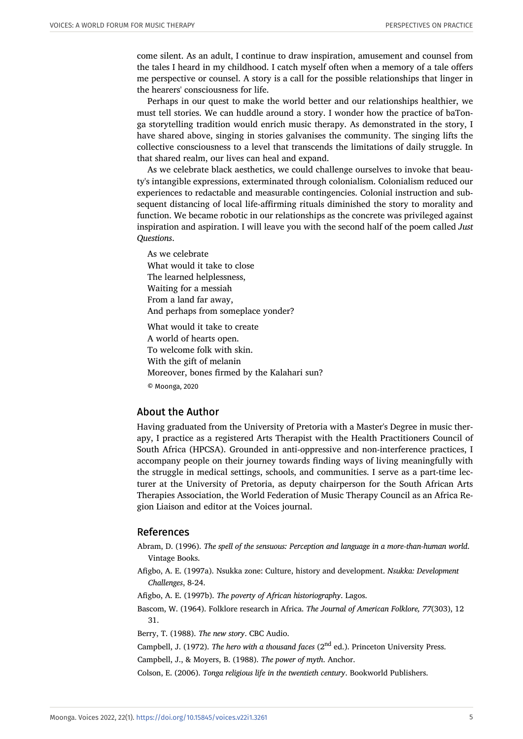come silent. As an adult, I continue to draw inspiration, amusement and counsel from the tales I heard in my childhood. I catch myself often when a memory of a tale offers me perspective or counsel. A story is a call for the possible relationships that linger in the hearers' consciousness for life.

Perhaps in our quest to make the world better and our relationships healthier, we must tell stories. We can huddle around a story. I wonder how the practice of baTonga storytelling tradition would enrich music therapy. As demonstrated in the story, I have shared above, singing in stories galvanises the community. The singing lifts the collective consciousness to a level that transcends the limitations of daily struggle. In that shared realm, our lives can heal and expand.

As we celebrate black aesthetics, we could challenge ourselves to invoke that beauty's intangible expressions, exterminated through colonialism. Colonialism reduced our experiences to redactable and measurable contingencies. Colonial instruction and subsequent distancing of local life-affirming rituals diminished the story to morality and function. We became robotic in our relationships as the concrete was privileged against inspiration and aspiration. I will leave you with the second half of the poem called *Just Questions*.

As we celebrate What would it take to close The learned helplessness, Waiting for a messiah From a land far away, And perhaps from someplace yonder? What would it take to create A world of hearts open.

To welcome folk with skin. With the gift of melanin Moreover, bones firmed by the Kalahari sun? © Moonga, 2020

## About the Author

Having graduated from the University of Pretoria with a Master's Degree in music therapy, I practice as a registered Arts Therapist with the Health Practitioners Council of South Africa (HPCSA). Grounded in anti-oppressive and non-interference practices, I accompany people on their journey towards finding ways of living meaningfully with the struggle in medical settings, schools, and communities. I serve as a part-time lecturer at the University of Pretoria, as deputy chairperson for the South African Arts Therapies Association, the World Federation of Music Therapy Council as an Africa Region Liaison and editor at the Voices journal.

#### References

- <span id="page-4-3"></span>Abram, D. (1996). *The spell of the sensuous: Perception and language in a more-than-human world*. Vintage Books.
- <span id="page-4-5"></span>Afigbo, A. E. (1997a). Nsukka zone: Culture, history and development. *Nsukka: Development Challenges*, 8-24.
- Afigbo, A. E. (1997b). *The poverty of African historiography*. Lagos.
- <span id="page-4-6"></span><span id="page-4-0"></span>Bascom, W. (1964). Folklore research in Africa. *The Journal of American Folklore, 77*(303), 12 31.

<span id="page-4-4"></span>Berry, T. (1988). *The new story*. CBC Audio.

<span id="page-4-2"></span>Campbell, J. (1972). *The hero with a thousand faces* (2<sup>nd</sup> ed.). Princeton University Press.

Campbell, J., & Moyers, B. (1988). *The power of myth*. Anchor.

<span id="page-4-1"></span>Colson, E. (2006). *Tonga religious life in the twentieth century*. Bookworld Publishers.